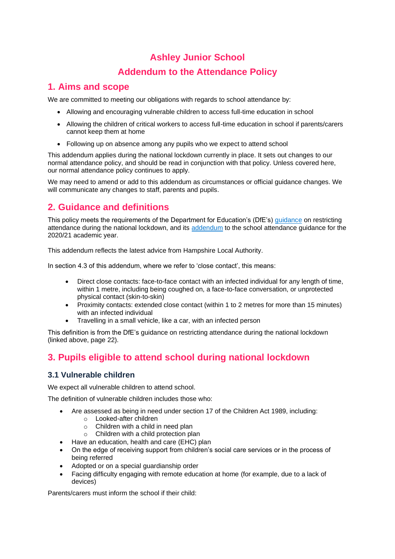## **Ashley Junior School**

## **Addendum to the Attendance Policy**

## **1. Aims and scope**

We are committed to meeting our obligations with regards to school attendance by:

- Allowing and encouraging vulnerable children to access full-time education in school
- Allowing the children of critical workers to access full-time education in school if parents/carers cannot keep them at home
- Following up on absence among any pupils who we expect to attend school

This addendum applies during the national lockdown currently in place. It sets out changes to our normal attendance policy, and should be read in conjunction with that policy. Unless covered here, our normal attendance policy continues to apply.

We may need to amend or add to this addendum as circumstances or official guidance changes. We will communicate any changes to staff, parents and pupils.

# **2. Guidance and definitions**

This policy meets the requirements of the Department for Education's (DfE's) [guidance](https://www.gov.uk/government/publications/actions-for-schools-during-the-coronavirus-outbreak) on restricting attendance during the national lockdown, and its [addendum](https://www.gov.uk/government/publications/school-attendance) to the school attendance guidance for the 2020/21 academic year.

This addendum reflects the latest advice from Hampshire Local Authority.

In section 4.3 of this addendum, where we refer to 'close contact', this means:

- Direct close contacts: face-to-face contact with an infected individual for any length of time, within 1 metre, including being coughed on, a face-to-face conversation, or unprotected physical contact (skin-to-skin)
- Proximity contacts: extended close contact (within 1 to 2 metres for more than 15 minutes) with an infected individual
- Travelling in a small vehicle, like a car, with an infected person

This definition is from the DfE's guidance on restricting attendance during the national lockdown (linked above, page 22).

# **3. Pupils eligible to attend school during national lockdown**

#### **3.1 Vulnerable children**

We expect all vulnerable children to attend school.

The definition of vulnerable children includes those who:

- Are assessed as being in need under section 17 of the Children Act 1989, including:
	- o Looked-after children
	- $\circ$  Children with a child in need plan
	- o Children with a child protection plan
- Have an education, health and care (EHC) plan
- On the edge of receiving support from children's social care services or in the process of being referred
- Adopted or on a special guardianship order
- Facing difficulty engaging with remote education at home (for example, due to a lack of devices)

Parents/carers must inform the school if their child: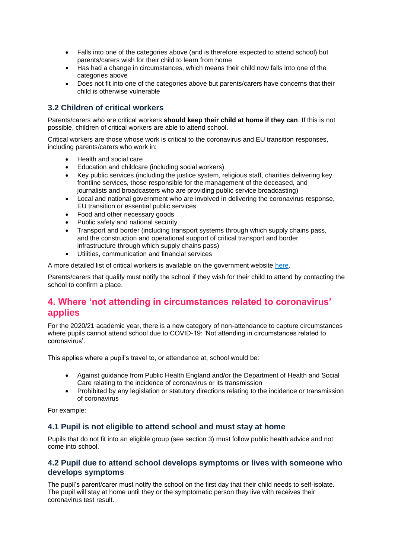- Falls into one of the categories above (and is therefore expected to attend school) but parents/carers wish for their child to learn from home
- Has had a change in circumstances, which means their child now falls into one of the categories above
- Does not fit into one of the categories above but parents/carers have concerns that their child is otherwise vulnerable

### **3.2 Children of critical workers**

Parents/carers who are critical workers **should keep their child at home if they can**. If this is not possible, children of critical workers are able to attend school.

Critical workers are those whose work is critical to the coronavirus and EU transition responses, including parents/carers who work in:

- Health and social care
- Education and childcare (including social workers)
- Key public services (including the justice system, religious staff, charities delivering key frontline services, those responsible for the management of the deceased, and journalists and broadcasters who are providing public service broadcasting)
- Local and national government who are involved in delivering the coronavirus response, EU transition or essential public services
- Food and other necessary goods
- Public safety and national security
- Transport and border (including transport systems through which supply chains pass, and the construction and operational support of critical transport and border infrastructure through which supply chains pass)
- Utilities, communication and financial services

A more detailed list of critical workers is available on the government website [here.](https://www.gov.uk/government/publications/coronavirus-covid-19-maintaining-educational-provision)

Parents/carers that qualify must notify the school if they wish for their child to attend by contacting the school to confirm a place.

## **4. Where 'not attending in circumstances related to coronavirus' applies**

For the 2020/21 academic year, there is a new category of non-attendance to capture circumstances where pupils cannot attend school due to COVID-19: 'Not attending in circumstances related to coronavirus'.

This applies where a pupil's travel to, or attendance at, school would be:

- Against guidance from Public Health England and/or the Department of Health and Social Care relating to the incidence of coronavirus or its transmission
- Prohibited by any legislation or statutory directions relating to the incidence or transmission of coronavirus

For example:

#### **4.1 Pupil is not eligible to attend school and must stay at home**

Pupils that do not fit into an eligible group (see section 3) must follow public health advice and not come into school.

#### **4.2 Pupil due to attend school develops symptoms or lives with someone who develops symptoms**

The pupil's parent/carer must notify the school on the first day that their child needs to self-isolate. The pupil will stay at home until they or the symptomatic person they live with receives their coronavirus test result.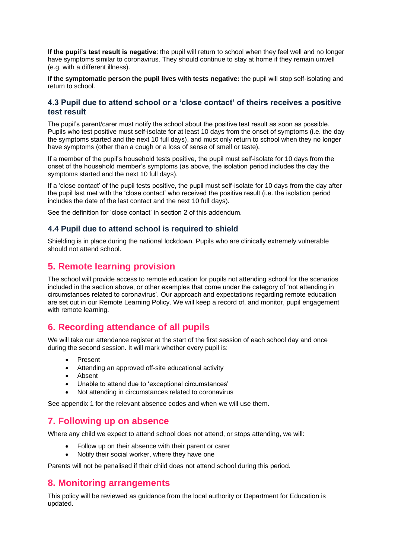**If the pupil's test result is negative**: the pupil will return to school when they feel well and no longer have symptoms similar to coronavirus. They should continue to stay at home if they remain unwell (e.g. with a different illness).

**If the symptomatic person the pupil lives with tests negative:** the pupil will stop self-isolating and return to school.

#### **4.3 Pupil due to attend school or a 'close contact' of theirs receives a positive test result**

The pupil's parent/carer must notify the school about the positive test result as soon as possible. Pupils who test positive must self-isolate for at least 10 days from the onset of symptoms (i.e. the day the symptoms started and the next 10 full days), and must only return to school when they no longer have symptoms (other than a cough or a loss of sense of smell or taste).

If a member of the pupil's household tests positive, the pupil must self-isolate for 10 days from the onset of the household member's symptoms (as above, the isolation period includes the day the symptoms started and the next 10 full days).

If a 'close contact' of the pupil tests positive, the pupil must self-isolate for 10 days from the day after the pupil last met with the 'close contact' who received the positive result (i.e. the isolation period includes the date of the last contact and the next 10 full days).

See the definition for 'close contact' in section 2 of this addendum.

#### **4.4 Pupil due to attend school is required to shield**

Shielding is in place during the national lockdown. Pupils who are clinically extremely vulnerable should not attend school.

## **5. Remote learning provision**

The school will provide access to remote education for pupils not attending school for the scenarios included in the section above, or other examples that come under the category of 'not attending in circumstances related to coronavirus'. Our approach and expectations regarding remote education are set out in our Remote Learning Policy. We will keep a record of, and monitor, pupil engagement with remote learning.

## **6. Recording attendance of all pupils**

We will take our attendance register at the start of the first session of each school day and once during the second session. It will mark whether every pupil is:

- Present
- Attending an approved off-site educational activity
- Absent
- Unable to attend due to 'exceptional circumstances'
- Not attending in circumstances related to coronavirus

See appendix 1 for the relevant absence codes and when we will use them.

### **7. Following up on absence**

Where any child we expect to attend school does not attend, or stops attending, we will:

- Follow up on their absence with their parent or carer
- Notify their social worker, where they have one

Parents will not be penalised if their child does not attend school during this period.

### **8. Monitoring arrangements**

This policy will be reviewed as guidance from the local authority or Department for Education is updated.